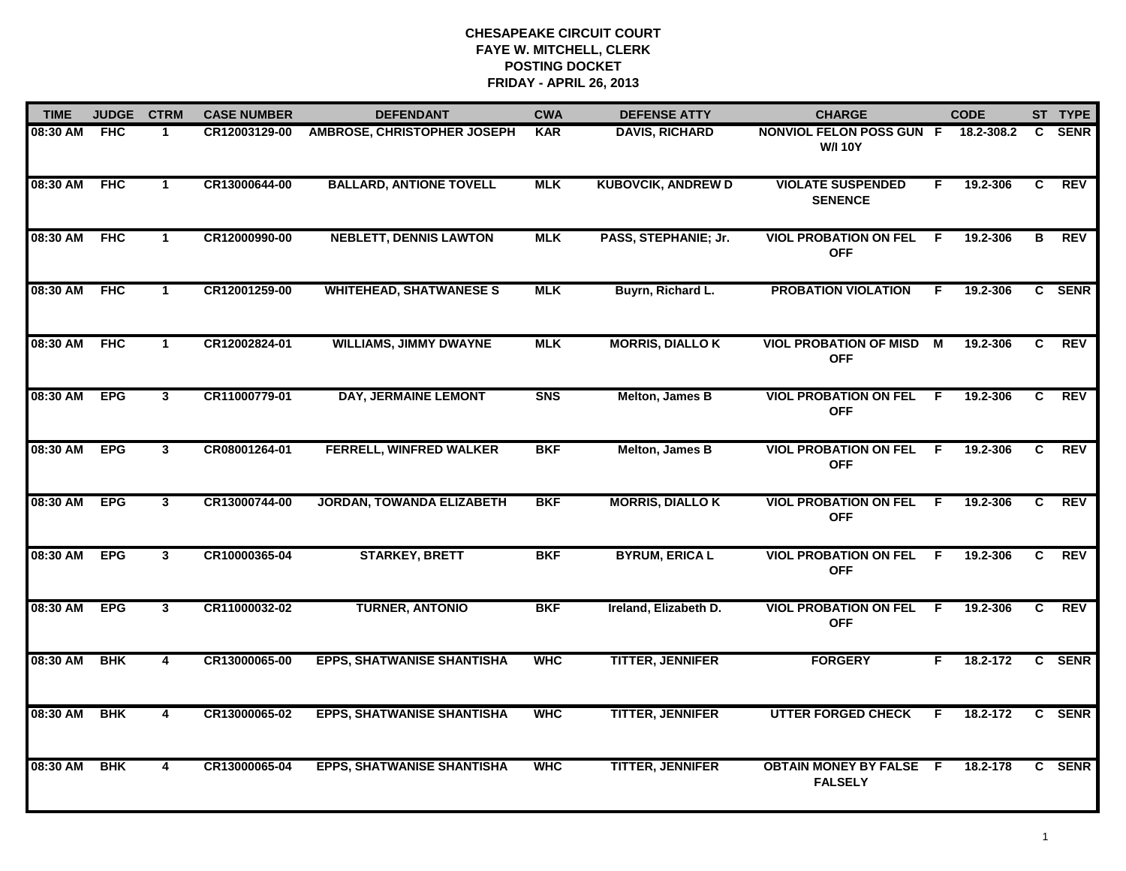| <b>TIME</b>  | <b>JUDGE</b> | <b>CTRM</b>             | <b>CASE NUMBER</b> | <b>DEFENDANT</b>                  | <b>CWA</b> | <b>DEFENSE ATTY</b>       | <b>CHARGE</b>                                     |                | <b>CODE</b> |                | ST TYPE     |
|--------------|--------------|-------------------------|--------------------|-----------------------------------|------------|---------------------------|---------------------------------------------------|----------------|-------------|----------------|-------------|
| 08:30 AM FHC |              | 1                       | CR12003129-00      | AMBROSE, CHRISTOPHER JOSEPH       | <b>KAR</b> | <b>DAVIS, RICHARD</b>     | <b>NONVIOL FELON POSS GUN F</b><br><b>W/I 10Y</b> |                | 18.2-308.2  | C.             | <b>SENR</b> |
| 08:30 AM     | <b>FHC</b>   | $\mathbf 1$             | CR13000644-00      | <b>BALLARD, ANTIONE TOVELL</b>    | <b>MLK</b> | <b>KUBOVCIK, ANDREW D</b> | <b>VIOLATE SUSPENDED</b><br><b>SENENCE</b>        | F.             | 19.2-306    | C              | <b>REV</b>  |
| 08:30 AM     | <b>FHC</b>   | $\mathbf{1}$            | CR12000990-00      | <b>NEBLETT, DENNIS LAWTON</b>     | <b>MLK</b> | PASS, STEPHANIE; Jr.      | <b>VIOL PROBATION ON FEL</b><br><b>OFF</b>        | E              | 19.2-306    | В              | <b>REV</b>  |
| 08:30 AM     | FHC          | 1                       | CR12001259-00      | <b>WHITEHEAD, SHATWANESE S</b>    | <b>MLK</b> | Buyrn, Richard L.         | <b>PROBATION VIOLATION</b>                        | F.             | 19.2-306    |                | C SENR      |
| 08:30 AM     | <b>FHC</b>   | $\mathbf 1$             | CR12002824-01      | <b>WILLIAMS, JIMMY DWAYNE</b>     | <b>MLK</b> | <b>MORRIS, DIALLO K</b>   | <b>VIOL PROBATION OF MISD</b><br><b>OFF</b>       | $\overline{M}$ | 19.2-306    | $\overline{c}$ | REV         |
| 08:30 AM     | <b>EPG</b>   | $\mathbf{3}$            | CR11000779-01      | DAY, JERMAINE LEMONT              | <b>SNS</b> | Melton, James B           | <b>VIOL PROBATION ON FEL</b><br><b>OFF</b>        | -F             | 19.2-306    | C.             | REV         |
| 08:30 AM     | <b>EPG</b>   | 3 <sup>1</sup>          | CR08001264-01      | FERRELL, WINFRED WALKER           | <b>BKF</b> | Melton, James B           | <b>VIOL PROBATION ON FEL</b><br><b>OFF</b>        | F              | 19.2-306    | $\mathbf{C}$   | <b>REV</b>  |
| 08:30 AM     | <b>EPG</b>   | $\mathbf{3}$            | CR13000744-00      | <b>JORDAN, TOWANDA ELIZABETH</b>  | <b>BKF</b> | <b>MORRIS, DIALLOK</b>    | <b>VIOL PROBATION ON FEL</b><br><b>OFF</b>        | F.             | 19.2-306    | C.             | <b>REV</b>  |
| 08:30 AM     | <b>EPG</b>   | 3 <sup>1</sup>          | CR10000365-04      | <b>STARKEY, BRETT</b>             | <b>BKF</b> | <b>BYRUM, ERICA L</b>     | <b>VIOL PROBATION ON FEL</b><br><b>OFF</b>        | -F             | 19.2-306    | C              | REV         |
| 08:30 AM     | <b>EPG</b>   | 3 <sup>1</sup>          | CR11000032-02      | <b>TURNER, ANTONIO</b>            | <b>BKF</b> | Ireland, Elizabeth D.     | <b>VIOL PROBATION ON FEL</b><br><b>OFF</b>        | - F            | 19.2-306    | C              | REV         |
| 08:30 AM     | <b>BHK</b>   | $\overline{\mathbf{4}}$ | CR13000065-00      | <b>EPPS, SHATWANISE SHANTISHA</b> | <b>WHC</b> | <b>TITTER, JENNIFER</b>   | <b>FORGERY</b>                                    | F.             | 18.2-172    |                | C SENR      |
| 08:30 AM     | <b>BHK</b>   | 4                       | CR13000065-02      | <b>EPPS, SHATWANISE SHANTISHA</b> | <b>WHC</b> | <b>TITTER, JENNIFER</b>   | <b>UTTER FORGED CHECK</b>                         | F.             | 18.2-172    |                | C SENR      |
| 08:30 AM     | <b>BHK</b>   | 4                       | CR13000065-04      | <b>EPPS, SHATWANISE SHANTISHA</b> | <b>WHC</b> | <b>TITTER, JENNIFER</b>   | <b>OBTAIN MONEY BY FALSE F</b><br><b>FALSELY</b>  |                | 18.2-178    |                | C SENR      |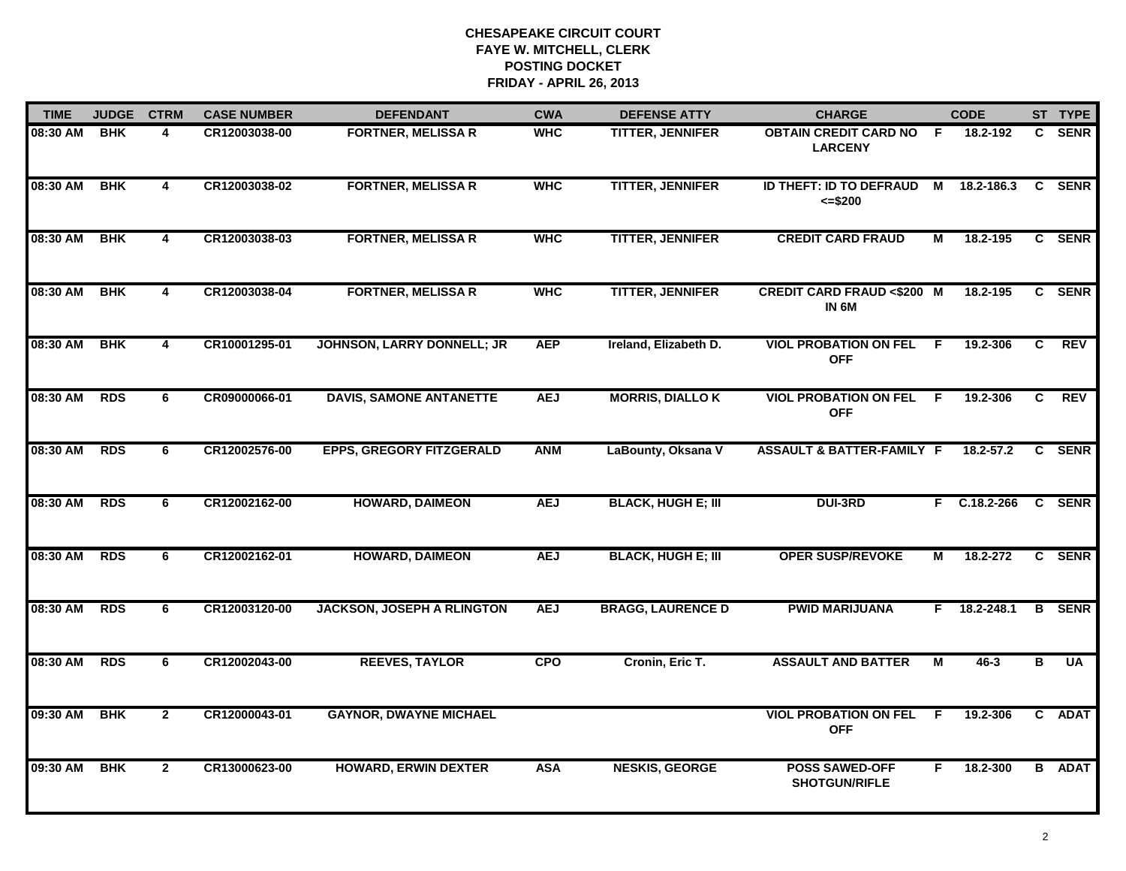| <b>TIME</b>  | <b>JUDGE</b> | <b>CTRM</b>             | <b>CASE NUMBER</b> | <b>DEFENDANT</b>                  | <b>CWA</b> | <b>DEFENSE ATTY</b>       | <b>CHARGE</b>                                             |                | <b>CODE</b>    |              | ST TYPE       |
|--------------|--------------|-------------------------|--------------------|-----------------------------------|------------|---------------------------|-----------------------------------------------------------|----------------|----------------|--------------|---------------|
| 08:30 AM     | <b>BHK</b>   | 4                       | CR12003038-00      | <b>FORTNER, MELISSA R</b>         | <b>WHC</b> | TITTER, JENNIFER          | <b>OBTAIN CREDIT CARD NO</b><br><b>LARCENY</b>            | F.             | 18.2-192       | C.           | <b>SENR</b>   |
| 08:30 AM     | <b>BHK</b>   | $\overline{\mathbf{4}}$ | CR12003038-02      | <b>FORTNER, MELISSA R</b>         | <b>WHC</b> | <b>TITTER, JENNIFER</b>   | <b>ID THEFT: ID TO DEFRAUD</b><br>$= $200$                | M              | 18.2-186.3     | C            | <b>SENR</b>   |
| 08:30 AM     | <b>BHK</b>   | 4                       | CR12003038-03      | <b>FORTNER, MELISSA R</b>         | <b>WHC</b> | <b>TITTER, JENNIFER</b>   | <b>CREDIT CARD FRAUD</b>                                  | М              | 18.2-195       |              | C SENR        |
| 08:30 AM     | <b>BHK</b>   | 4                       | CR12003038-04      | <b>FORTNER, MELISSA R</b>         | <b>WHC</b> | <b>TITTER, JENNIFER</b>   | <b>CREDIT CARD FRAUD &lt;\$200 M</b><br>IN <sub>6</sub> M |                | 18.2-195       |              | C SENR        |
| 08:30 AM     | <b>BHK</b>   | 4                       | CR10001295-01      | JOHNSON, LARRY DONNELL; JR        | <b>AEP</b> | Ireland, Elizabeth D.     | <b>VIOL PROBATION ON FEL</b><br><b>OFF</b>                | F.             | 19.2-306       | C            | <b>REV</b>    |
| 08:30 AM RDS |              | 6                       | CR09000066-01      | <b>DAVIS, SAMONE ANTANETTE</b>    | <b>AEJ</b> | <b>MORRIS, DIALLOK</b>    | <b>VIOL PROBATION ON FEL F</b><br><b>OFF</b>              |                | 19.2-306       | $\mathbf{c}$ | REV           |
| 08:30 AM     | <b>RDS</b>   | 6                       | CR12002576-00      | <b>EPPS, GREGORY FITZGERALD</b>   | <b>ANM</b> | LaBounty, Oksana V        | <b>ASSAULT &amp; BATTER-FAMILY F</b>                      |                | 18.2-57.2      | C.           | <b>SENR</b>   |
| 08:30 AM     | <b>RDS</b>   | 6                       | CR12002162-00      | <b>HOWARD, DAIMEON</b>            | <b>AEJ</b> | <b>BLACK, HUGH E; III</b> | <b>DUI-3RD</b>                                            |                | $F$ C.18.2-266 |              | C SENR        |
| 08:30 AM     | <b>RDS</b>   | 6                       | CR12002162-01      | <b>HOWARD, DAIMEON</b>            | <b>AEJ</b> | <b>BLACK, HUGH E; III</b> | <b>OPER SUSP/REVOKE</b>                                   | М              | 18.2-272       |              | C SENR        |
| 08:30 AM     | <b>RDS</b>   | 6                       | CR12003120-00      | <b>JACKSON, JOSEPH A RLINGTON</b> | <b>AEJ</b> | <b>BRAGG, LAURENCE D</b>  | <b>PWID MARIJUANA</b>                                     | F.             | 18.2-248.1     |              | <b>B</b> SENR |
| 08:30 AM     | <b>RDS</b>   | 6                       | CR12002043-00      | <b>REEVES, TAYLOR</b>             | <b>CPO</b> | Cronin, Eric T.           | <b>ASSAULT AND BATTER</b>                                 | $\overline{M}$ | $46 - 3$       | В            | <b>UA</b>     |
| 09:30 AM     | <b>BHK</b>   | $\mathbf{2}$            | CR12000043-01      | <b>GAYNOR, DWAYNE MICHAEL</b>     |            |                           | <b>VIOL PROBATION ON FEL</b><br><b>OFF</b>                | F.             | 19.2-306       |              | C ADAT        |
| 09:30 AM     | <b>BHK</b>   | $\mathbf{2}$            | CR13000623-00      | <b>HOWARD, ERWIN DEXTER</b>       | <b>ASA</b> | <b>NESKIS, GEORGE</b>     | <b>POSS SAWED-OFF</b><br><b>SHOTGUN/RIFLE</b>             | F.             | 18.2-300       |              | <b>B</b> ADAT |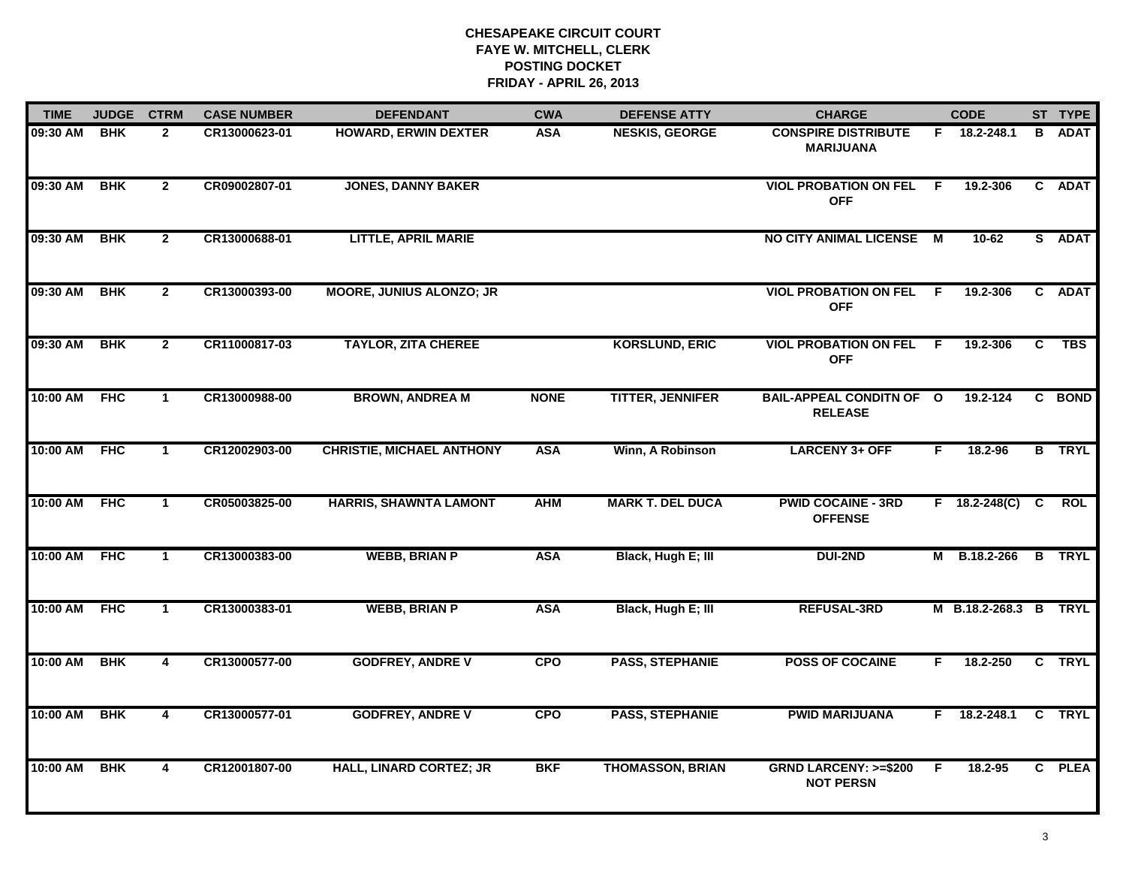| <b>TIME</b> | <b>JUDGE</b> | <b>CTRM</b>    | <b>CASE NUMBER</b> | <b>DEFENDANT</b>                 | <b>CWA</b>  | <b>DEFENSE ATTY</b>     | <b>CHARGE</b>                                       |    | <b>CODE</b>         |    | ST TYPE       |
|-------------|--------------|----------------|--------------------|----------------------------------|-------------|-------------------------|-----------------------------------------------------|----|---------------------|----|---------------|
| 09:30 AM    | <b>BHK</b>   | $\overline{2}$ | CR13000623-01      | <b>HOWARD, ERWIN DEXTER</b>      | <b>ASA</b>  | <b>NESKIS, GEORGE</b>   | <b>CONSPIRE DISTRIBUTE</b><br><b>MARIJUANA</b>      |    | F 18.2-248.1        | B  | <b>ADAT</b>   |
| 09:30 AM    | <b>BHK</b>   | $\overline{2}$ | CR09002807-01      | <b>JONES, DANNY BAKER</b>        |             |                         | <b>VIOL PROBATION ON FEL</b><br><b>OFF</b>          | F. | 19.2-306            |    | C ADAT        |
| 09:30 AM    | <b>BHK</b>   | $\mathbf{2}$   | CR13000688-01      | <b>LITTLE, APRIL MARIE</b>       |             |                         | <b>NO CITY ANIMAL LICENSE</b>                       | M  | 10-62               |    | S ADAT        |
| 09:30 AM    | <b>BHK</b>   | $\mathbf{2}$   | CR13000393-00      | <b>MOORE, JUNIUS ALONZO; JR</b>  |             |                         | <b>VIOL PROBATION ON FEL</b><br><b>OFF</b>          | -F | 19.2-306            |    | C ADAT        |
| 09:30 AM    | <b>BHK</b>   | $\mathbf{2}$   | CR11000817-03      | <b>TAYLOR, ZITA CHEREE</b>       |             | <b>KORSLUND, ERIC</b>   | <b>VIOL PROBATION ON FEL</b><br><b>OFF</b>          | F. | 19.2-306            | C. | <b>TBS</b>    |
| 10:00 AM    | <b>FHC</b>   | $\mathbf{1}$   | CR13000988-00      | <b>BROWN, ANDREA M</b>           | <b>NONE</b> | <b>TITTER, JENNIFER</b> | <b>BAIL-APPEAL CONDITN OF O</b><br><b>RELEASE</b>   |    | 19.2-124            |    | C BOND        |
| 10:00 AM    | <b>FHC</b>   | $\mathbf{1}$   | CR12002903-00      | <b>CHRISTIE, MICHAEL ANTHONY</b> | <b>ASA</b>  | Winn, A Robinson        | <b>LARCENY 3+ OFF</b>                               | F  | 18.2-96             |    | <b>B</b> TRYL |
| 10:00 AM    | <b>FHC</b>   | $\mathbf{1}$   | CR05003825-00      | <b>HARRIS, SHAWNTA LAMONT</b>    | <b>AHM</b>  | <b>MARK T. DEL DUCA</b> | <b>PWID COCAINE - 3RD</b><br><b>OFFENSE</b>         |    | $F = 18.2 - 248(C)$ | C  | <b>ROL</b>    |
| 10:00 AM    | <b>FHC</b>   | $\mathbf 1$    | CR13000383-00      | <b>WEBB, BRIAN P</b>             | <b>ASA</b>  | Black, Hugh E; III      | <b>DUI-2ND</b>                                      | М  | B.18.2-266          |    | <b>B</b> TRYL |
| 10:00 AM    | <b>FHC</b>   | $\mathbf 1$    | CR13000383-01      | <b>WEBB, BRIAN P</b>             | <b>ASA</b>  | Black, Hugh E; III      | <b>REFUSAL-3RD</b>                                  |    | M B.18.2-268.3 B    |    | <b>TRYL</b>   |
| 10:00 AM    | <b>BHK</b>   | $\overline{4}$ | CR13000577-00      | <b>GODFREY, ANDRE V</b>          | <b>CPO</b>  | <b>PASS, STEPHANIE</b>  | <b>POSS OF COCAINE</b>                              | F. | 18.2-250            |    | C TRYL        |
| 10:00 AM    | <b>BHK</b>   | $\overline{4}$ | CR13000577-01      | <b>GODFREY, ANDRE V</b>          | <b>CPO</b>  | <b>PASS, STEPHANIE</b>  | <b>PWID MARIJUANA</b>                               |    | $F = 18.2 - 248.1$  |    | C TRYL        |
| 10:00 AM    | <b>BHK</b>   | $\overline{4}$ | CR12001807-00      | <b>HALL, LINARD CORTEZ; JR</b>   | <b>BKF</b>  | <b>THOMASSON, BRIAN</b> | <b>GRND LARCENY: &gt;=\$200</b><br><b>NOT PERSN</b> | F  | $18.2 - 95$         |    | C PLEA        |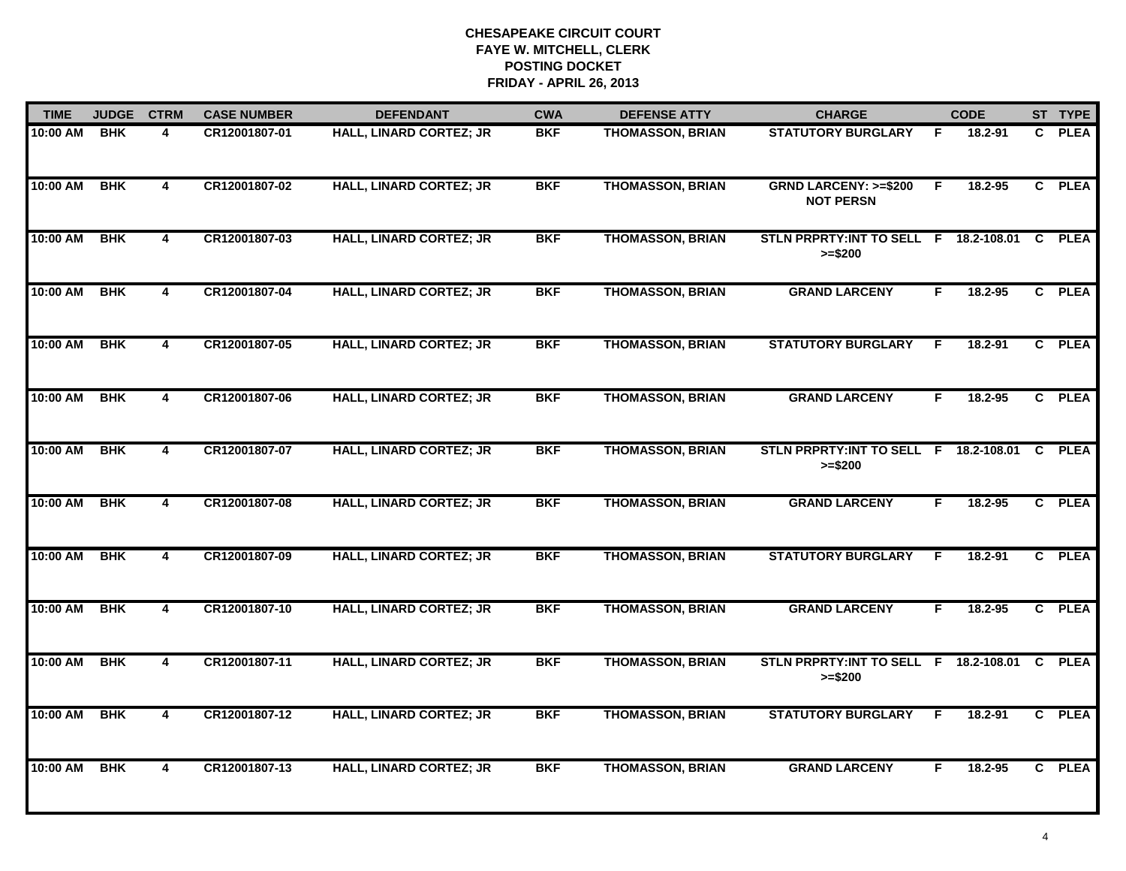| <b>TIME</b> | <b>JUDGE</b> | <b>CTRM</b>             | <b>CASE NUMBER</b> | <b>DEFENDANT</b>               | <b>CWA</b> | <b>DEFENSE ATTY</b>     | <b>CHARGE</b>                                         |    | <b>CODE</b> |              | ST TYPE     |
|-------------|--------------|-------------------------|--------------------|--------------------------------|------------|-------------------------|-------------------------------------------------------|----|-------------|--------------|-------------|
| 10:00 AM    | <b>BHK</b>   | 4                       | CR12001807-01      | <b>HALL, LINARD CORTEZ; JR</b> | <b>BKF</b> | <b>THOMASSON, BRIAN</b> | <b>STATUTORY BURGLARY</b>                             | F  | 18.2-91     | C.           | <b>PLEA</b> |
| 10:00 AM    | <b>BHK</b>   | $\overline{4}$          | CR12001807-02      | <b>HALL, LINARD CORTEZ; JR</b> | <b>BKF</b> | <b>THOMASSON, BRIAN</b> | <b>GRND LARCENY: &gt;=\$200</b><br><b>NOT PERSN</b>   | F  | 18.2-95     |              | C PLEA      |
| 10:00 AM    | <b>BHK</b>   | $\overline{4}$          | CR12001807-03      | <b>HALL, LINARD CORTEZ; JR</b> | <b>BKF</b> | <b>THOMASSON, BRIAN</b> | STLN PRPRTY: INT TO SELL F 18.2-108.01<br>$>= $200$   |    |             | $\mathbf{C}$ | <b>PLEA</b> |
| 10:00 AM    | <b>BHK</b>   | 4                       | CR12001807-04      | <b>HALL, LINARD CORTEZ; JR</b> | <b>BKF</b> | <b>THOMASSON, BRIAN</b> | <b>GRAND LARCENY</b>                                  | F. | 18.2-95     |              | C PLEA      |
| 10:00 AM    | <b>BHK</b>   | 4                       | CR12001807-05      | <b>HALL, LINARD CORTEZ; JR</b> | <b>BKF</b> | <b>THOMASSON, BRIAN</b> | <b>STATUTORY BURGLARY</b>                             | E  | 18.2-91     |              | C PLEA      |
| 10:00 AM    | <b>BHK</b>   | 4                       | CR12001807-06      | <b>HALL, LINARD CORTEZ; JR</b> | <b>BKF</b> | <b>THOMASSON, BRIAN</b> | <b>GRAND LARCENY</b>                                  | F. | 18.2-95     |              | C PLEA      |
| 10:00 AM    | <b>BHK</b>   | $\overline{4}$          | CR12001807-07      | <b>HALL, LINARD CORTEZ; JR</b> | <b>BKF</b> | <b>THOMASSON, BRIAN</b> | STLN PRPRTY: INT TO SELL F<br>$>= $200$               |    | 18.2-108.01 | C            | <b>PLEA</b> |
| 10:00 AM    | <b>BHK</b>   | $\overline{4}$          | CR12001807-08      | <b>HALL, LINARD CORTEZ; JR</b> | <b>BKF</b> | <b>THOMASSON, BRIAN</b> | <b>GRAND LARCENY</b>                                  | F  | $18.2 - 95$ |              | C PLEA      |
| 10:00 AM    | <b>BHK</b>   | $\overline{\mathbf{4}}$ | CR12001807-09      | <b>HALL, LINARD CORTEZ; JR</b> | <b>BKF</b> | <b>THOMASSON, BRIAN</b> | <b>STATUTORY BURGLARY</b>                             | F  | 18.2-91     |              | C PLEA      |
| 10:00 AM    | <b>BHK</b>   | $\overline{\mathbf{4}}$ | CR12001807-10      | <b>HALL, LINARD CORTEZ; JR</b> | <b>BKF</b> | <b>THOMASSON, BRIAN</b> | <b>GRAND LARCENY</b>                                  | F  | 18.2-95     |              | C PLEA      |
| 10:00 AM    | <b>BHK</b>   | $\overline{\mathbf{4}}$ | CR12001807-11      | <b>HALL, LINARD CORTEZ; JR</b> | <b>BKF</b> | <b>THOMASSON, BRIAN</b> | STLN PRPRTY: INT TO SELL F 18.2-108.01 C<br>$>= $200$ |    |             |              | <b>PLEA</b> |
| 10:00 AM    | <b>BHK</b>   | $\overline{4}$          | CR12001807-12      | <b>HALL, LINARD CORTEZ; JR</b> | <b>BKF</b> | <b>THOMASSON, BRIAN</b> | <b>STATUTORY BURGLARY</b>                             | E  | 18.2-91     |              | C PLEA      |
| 10:00 AM    | <b>BHK</b>   | $\overline{\mathbf{4}}$ | CR12001807-13      | <b>HALL, LINARD CORTEZ; JR</b> | <b>BKF</b> | <b>THOMASSON, BRIAN</b> | <b>GRAND LARCENY</b>                                  | F  | $18.2 - 95$ |              | C PLEA      |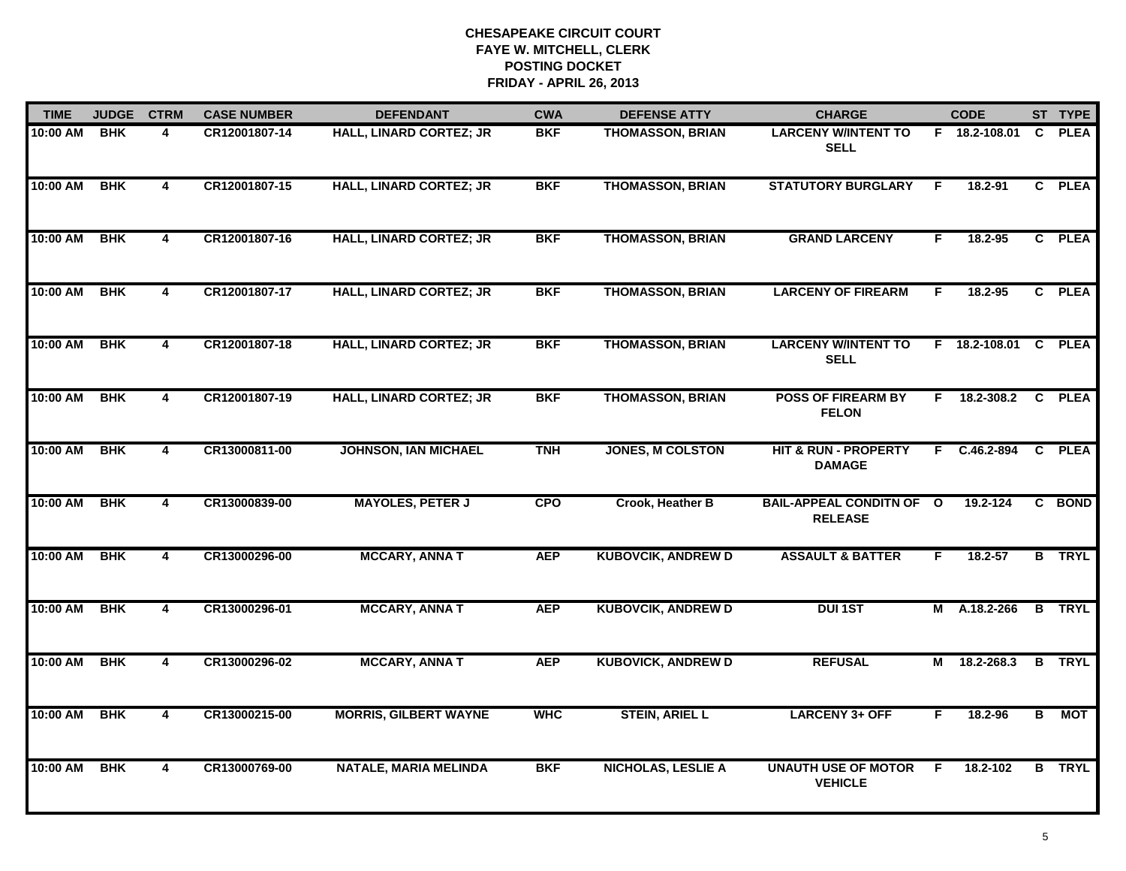| <b>TIME</b> | <b>JUDGE</b> | <b>CTRM</b>             | <b>CASE NUMBER</b> | <b>DEFENDANT</b>               | <b>CWA</b> | <b>DEFENSE ATTY</b>       | <b>CHARGE</b>                                     |    | <b>CODE</b>    |                | ST TYPE       |
|-------------|--------------|-------------------------|--------------------|--------------------------------|------------|---------------------------|---------------------------------------------------|----|----------------|----------------|---------------|
| 10:00 AM    | <b>BHK</b>   | 4                       | CR12001807-14      | <b>HALL, LINARD CORTEZ; JR</b> | <b>BKF</b> | <b>THOMASSON, BRIAN</b>   | <b>LARCENY W/INTENT TO</b><br><b>SELL</b>         |    | F 18.2-108.01  | C.             | <b>PLEA</b>   |
| 10:00 AM    | <b>BHK</b>   | $\overline{\mathbf{4}}$ | CR12001807-15      | HALL, LINARD CORTEZ; JR        | <b>BKF</b> | <b>THOMASSON, BRIAN</b>   | <b>STATUTORY BURGLARY</b>                         | F. | 18.2-91        |                | C PLEA        |
| 10:00 AM    | <b>BHK</b>   | 4                       | CR12001807-16      | <b>HALL, LINARD CORTEZ; JR</b> | <b>BKF</b> | <b>THOMASSON, BRIAN</b>   | <b>GRAND LARCENY</b>                              | F  | 18.2-95        |                | C PLEA        |
| 10:00 AM    | <b>BHK</b>   | 4                       | CR12001807-17      | <b>HALL, LINARD CORTEZ; JR</b> | <b>BKF</b> | <b>THOMASSON, BRIAN</b>   | <b>LARCENY OF FIREARM</b>                         | F  | 18.2-95        |                | C PLEA        |
| 10:00 AM    | <b>BHK</b>   | 4                       | CR12001807-18      | <b>HALL, LINARD CORTEZ; JR</b> | <b>BKF</b> | <b>THOMASSON, BRIAN</b>   | <b>LARCENY W/INTENT TO</b><br><b>SELL</b>         |    | F 18.2-108.01  |                | C PLEA        |
| 10:00 AM    | <b>BHK</b>   | 4                       | CR12001807-19      | <b>HALL, LINARD CORTEZ; JR</b> | <b>BKF</b> | <b>THOMASSON, BRIAN</b>   | <b>POSS OF FIREARM BY</b><br><b>FELON</b>         |    | $F$ 18.2-308.2 | $\overline{c}$ | <b>PLEA</b>   |
| 10:00 AM    | <b>BHK</b>   | $\overline{\mathbf{4}}$ | CR13000811-00      | <b>JOHNSON, IAN MICHAEL</b>    | <b>TNH</b> | <b>JONES, M COLSTON</b>   | <b>HIT &amp; RUN - PROPERTY</b><br><b>DAMAGE</b>  | F. | $C.46.2 - 894$ | $\overline{c}$ | <b>PLEA</b>   |
| 10:00 AM    | <b>BHK</b>   | $\overline{4}$          | CR13000839-00      | <b>MAYOLES, PETER J</b>        | <b>CPO</b> | Crook, Heather B          | <b>BAIL-APPEAL CONDITN OF O</b><br><b>RELEASE</b> |    | 19.2-124       |                | C BOND        |
| 10:00 AM    | <b>BHK</b>   | 4                       | CR13000296-00      | <b>MCCARY, ANNA T</b>          | <b>AEP</b> | <b>KUBOVCIK, ANDREW D</b> | <b>ASSAULT &amp; BATTER</b>                       | F  | $18.2 - 57$    |                | <b>B</b> TRYL |
| 10:00 AM    | <b>BHK</b>   | 4                       | CR13000296-01      | <b>MCCARY, ANNAT</b>           | <b>AEP</b> | <b>KUBOVCIK, ANDREW D</b> | <b>DUI1ST</b>                                     | М  | A.18.2-266     | $\overline{B}$ | <b>TRYL</b>   |
| 10:00 AM    | <b>BHK</b>   | 4                       | CR13000296-02      | <b>MCCARY, ANNA T</b>          | <b>AEP</b> | <b>KUBOVICK, ANDREW D</b> | <b>REFUSAL</b>                                    | М  | 18.2-268.3     | B              | <b>TRYL</b>   |
| 10:00 AM    | <b>BHK</b>   | 4                       | CR13000215-00      | <b>MORRIS, GILBERT WAYNE</b>   | <b>WHC</b> | <b>STEIN, ARIEL L</b>     | <b>LARCENY 3+ OFF</b>                             | F  | 18.2-96        | $\overline{B}$ | <b>MOT</b>    |
| 10:00 AM    | <b>BHK</b>   | 4                       | CR13000769-00      | <b>NATALE, MARIA MELINDA</b>   | <b>BKF</b> | <b>NICHOLAS, LESLIE A</b> | <b>UNAUTH USE OF MOTOR</b><br><b>VEHICLE</b>      | F  | 18.2-102       | B              | <b>TRYL</b>   |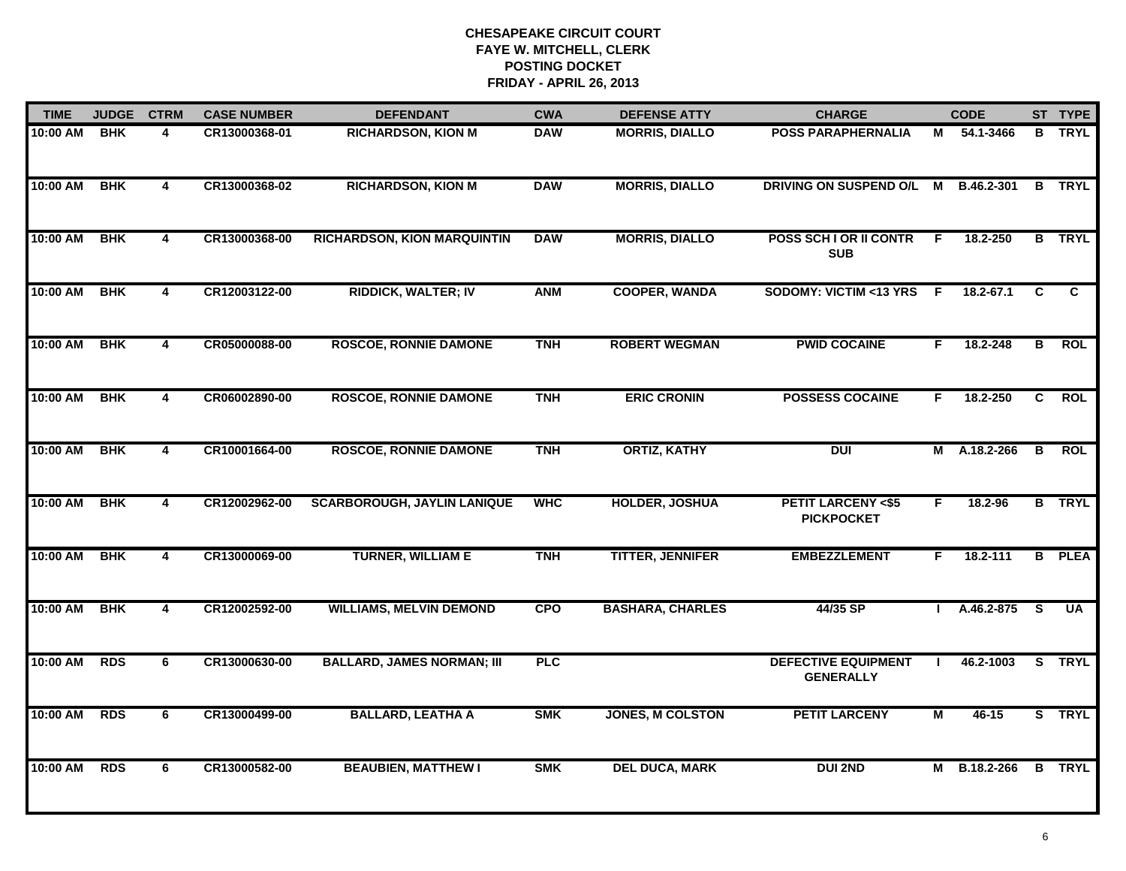| <b>TIME</b> | <b>JUDGE</b> | <b>CTRM</b>    | <b>CASE NUMBER</b> | <b>DEFENDANT</b>                   | <b>CWA</b> | <b>DEFENSE ATTY</b>     | <b>CHARGE</b>                                     |     | <b>CODE</b> |                         | ST TYPE       |
|-------------|--------------|----------------|--------------------|------------------------------------|------------|-------------------------|---------------------------------------------------|-----|-------------|-------------------------|---------------|
| 10:00 AM    | <b>BHK</b>   | 4              | CR13000368-01      | <b>RICHARDSON, KION M</b>          | <b>DAW</b> | <b>MORRIS, DIALLO</b>   | <b>POSS PARAPHERNALIA</b>                         | М   | 54.1-3466   |                         | <b>B</b> TRYL |
| 10:00 AM    | <b>BHK</b>   | 4              | CR13000368-02      | <b>RICHARDSON, KION M</b>          | <b>DAW</b> | <b>MORRIS, DIALLO</b>   | DRIVING ON SUSPEND O/L                            | M   | B.46.2-301  | В                       | <b>TRYL</b>   |
| 10:00 AM    | <b>BHK</b>   | 4              | CR13000368-00      | <b>RICHARDSON, KION MARQUINTIN</b> | <b>DAW</b> | <b>MORRIS, DIALLO</b>   | <b>POSS SCH I OR II CONTR</b><br><b>SUB</b>       | F   | 18.2-250    |                         | <b>B</b> TRYL |
| 10:00 AM    | <b>BHK</b>   | 4              | CR12003122-00      | <b>RIDDICK, WALTER; IV</b>         | <b>ANM</b> | <b>COOPER, WANDA</b>    | <b>SODOMY: VICTIM &lt;13 YRS</b>                  | - F | 18.2-67.1   | C                       | C             |
| 10:00 AM    | <b>BHK</b>   | 4              | CR05000088-00      | <b>ROSCOE, RONNIE DAMONE</b>       | <b>TNH</b> | <b>ROBERT WEGMAN</b>    | <b>PWID COCAINE</b>                               | F.  | 18.2-248    | $\overline{\mathbf{B}}$ | <b>ROL</b>    |
| 10:00 AM    | <b>BHK</b>   | $\overline{4}$ | CR06002890-00      | <b>ROSCOE, RONNIE DAMONE</b>       | <b>TNH</b> | <b>ERIC CRONIN</b>      | <b>POSSESS COCAINE</b>                            | F.  | 18.2-250    | C.                      | <b>ROL</b>    |
| 10:00 AM    | <b>BHK</b>   | 4              | CR10001664-00      | <b>ROSCOE, RONNIE DAMONE</b>       | <b>TNH</b> | <b>ORTIZ, KATHY</b>     | <b>DUI</b>                                        | Μ   | A.18.2-266  | B                       | <b>ROL</b>    |
| 10:00 AM    | <b>BHK</b>   | 4              | CR12002962-00      | <b>SCARBOROUGH, JAYLIN LANIQUE</b> | <b>WHC</b> | <b>HOLDER, JOSHUA</b>   | <b>PETIT LARCENY &lt;\$5</b><br><b>PICKPOCKET</b> | F.  | 18.2-96     |                         | <b>B</b> TRYL |
| 10:00 AM    | <b>BHK</b>   | 4              | CR13000069-00      | <b>TURNER, WILLIAM E</b>           | <b>TNH</b> | <b>TITTER, JENNIFER</b> | <b>EMBEZZLEMENT</b>                               | F.  | 18.2-111    | B                       | <b>PLEA</b>   |
| 10:00 AM    | <b>BHK</b>   | 4              | CR12002592-00      | <b>WILLIAMS, MELVIN DEMOND</b>     | <b>CPO</b> | <b>BASHARA, CHARLES</b> | 44/35 SP                                          |     | A.46.2-875  | - S                     | <b>UA</b>     |
| 10:00 AM    | <b>RDS</b>   | 6              | CR13000630-00      | <b>BALLARD, JAMES NORMAN; III</b>  | PLC        |                         | <b>DEFECTIVE EQUIPMENT</b><br><b>GENERALLY</b>    |     | 46.2-1003   |                         | S TRYL        |
| 10:00 AM    | <b>RDS</b>   | 6              | CR13000499-00      | <b>BALLARD, LEATHA A</b>           | <b>SMK</b> | <b>JONES, M COLSTON</b> | <b>PETIT LARCENY</b>                              | M   | $46 - 15$   |                         | S TRYL        |
| 10:00 AM    | <b>RDS</b>   | 6              | CR13000582-00      | <b>BEAUBIEN, MATTHEW I</b>         | <b>SMK</b> | <b>DEL DUCA, MARK</b>   | <b>DUI 2ND</b>                                    | М   | B.18.2-266  | $\mathbf{B}$            | <b>TRYL</b>   |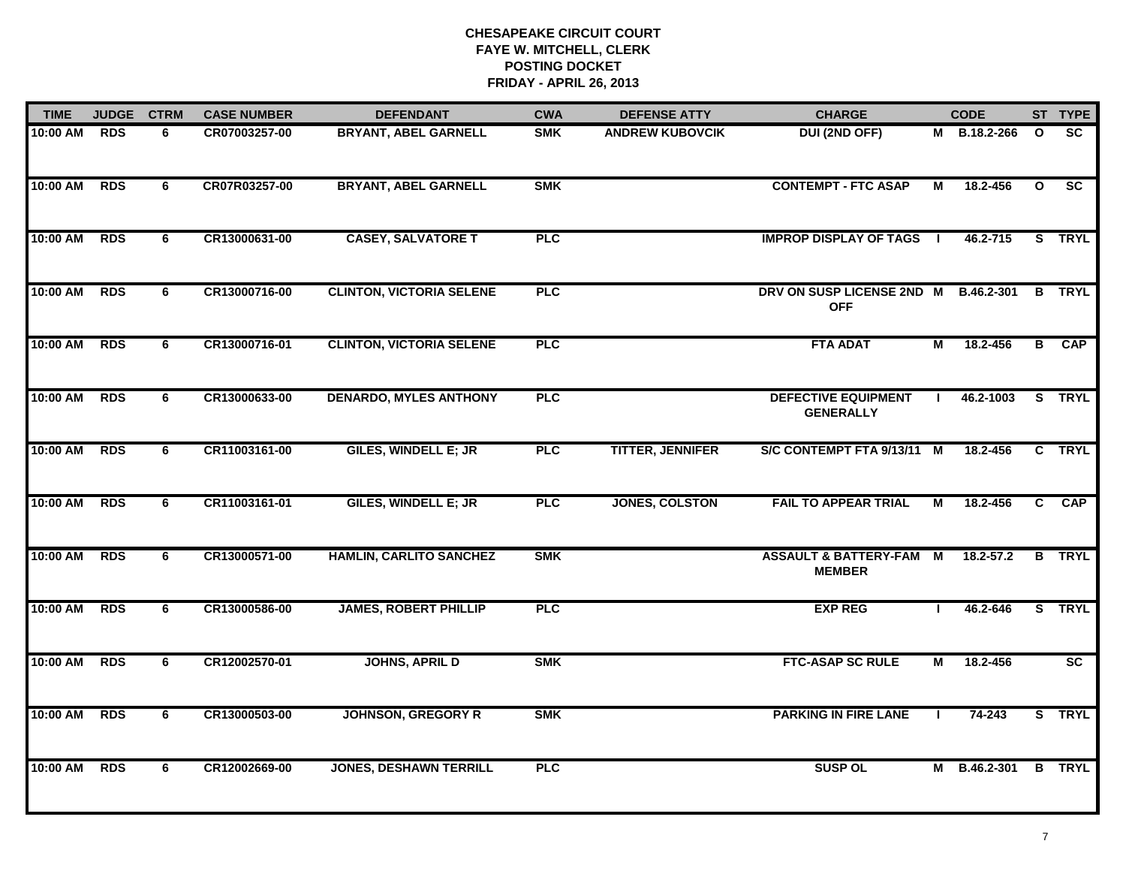| <b>TIME</b> | <b>JUDGE</b> | <b>CTRM</b> | <b>CASE NUMBER</b> | <b>DEFENDANT</b>                | <b>CWA</b> | <b>DEFENSE ATTY</b>     | <b>CHARGE</b>                                     |              | <b>CODE</b>       |              | ST TYPE                |
|-------------|--------------|-------------|--------------------|---------------------------------|------------|-------------------------|---------------------------------------------------|--------------|-------------------|--------------|------------------------|
| 10:00 AM    | <b>RDS</b>   | 6.          | CR07003257-00      | <b>BRYANT, ABEL GARNELL</b>     | <b>SMK</b> | <b>ANDREW KUBOVCIK</b>  | <b>DUI (2ND OFF)</b>                              | M            | <b>B.18.2-266</b> | $\mathbf{o}$ | <b>SC</b>              |
| 10:00 AM    | <b>RDS</b>   | 6           | CR07R03257-00      | <b>BRYANT, ABEL GARNELL</b>     | <b>SMK</b> |                         | <b>CONTEMPT - FTC ASAP</b>                        | М            | 18.2-456          | $\mathbf{o}$ | $\overline{\text{sc}}$ |
| 10:00 AM    | <b>RDS</b>   | 6           | CR13000631-00      | <b>CASEY, SALVATORE T</b>       | <b>PLC</b> |                         | <b>IMPROP DISPLAY OF TAGS</b>                     |              | 46.2-715          |              | S TRYL                 |
| 10:00 AM    | <b>RDS</b>   | 6           | CR13000716-00      | <b>CLINTON, VICTORIA SELENE</b> | <b>PLC</b> |                         | DRV ON SUSP LICENSE 2ND M<br><b>OFF</b>           |              | <b>B.46.2-301</b> |              | <b>B</b> TRYL          |
| 10:00 AM    | <b>RDS</b>   | 6           | CR13000716-01      | <b>CLINTON, VICTORIA SELENE</b> | <b>PLC</b> |                         | <b>FTA ADAT</b>                                   | М            | 18.2-456          | B            | <b>CAP</b>             |
| 10:00 AM    | <b>RDS</b>   | 6           | CR13000633-00      | <b>DENARDO, MYLES ANTHONY</b>   | <b>PLC</b> |                         | <b>DEFECTIVE EQUIPMENT</b><br><b>GENERALLY</b>    |              | 46.2-1003         | S.           | <b>TRYL</b>            |
| 10:00 AM    | <b>RDS</b>   | 6           | CR11003161-00      | <b>GILES, WINDELL E; JR</b>     | <b>PLC</b> | <b>TITTER, JENNIFER</b> | S/C CONTEMPT FTA 9/13/11 M                        |              | 18.2-456          |              | C TRYL                 |
| 10:00 AM    | <b>RDS</b>   | 6           | CR11003161-01      | <b>GILES, WINDELL E; JR</b>     | <b>PLC</b> | <b>JONES, COLSTON</b>   | <b>FAIL TO APPEAR TRIAL</b>                       | М            | 18.2-456          | C            | <b>CAP</b>             |
| 10:00 AM    | <b>RDS</b>   | 6           | CR13000571-00      | <b>HAMLIN, CARLITO SANCHEZ</b>  | <b>SMK</b> |                         | <b>ASSAULT &amp; BATTERY-FAM</b><br><b>MEMBER</b> | M            | 18.2-57.2         |              | <b>B</b> TRYL          |
| 10:00 AM    | <b>RDS</b>   | 6           | CR13000586-00      | <b>JAMES, ROBERT PHILLIP</b>    | PLC        |                         | <b>EXP REG</b>                                    |              | 46.2-646          |              | S TRYL                 |
| 10:00 AM    | <b>RDS</b>   | 6           | CR12002570-01      | <b>JOHNS, APRIL D</b>           | <b>SMK</b> |                         | <b>FTC-ASAP SC RULE</b>                           | М            | 18.2-456          |              | SC                     |
| 10:00 AM    | <b>RDS</b>   | 6           | CR13000503-00      | <b>JOHNSON, GREGORY R</b>       | <b>SMK</b> |                         | <b>PARKING IN FIRE LANE</b>                       | $\mathbf{L}$ | 74-243            |              | S TRYL                 |
| 10:00 AM    | <b>RDS</b>   | 6           | CR12002669-00      | <b>JONES, DESHAWN TERRILL</b>   | PLC        |                         | <b>SUSP OL</b>                                    | М            | B.46.2-301        |              | <b>B</b> TRYL          |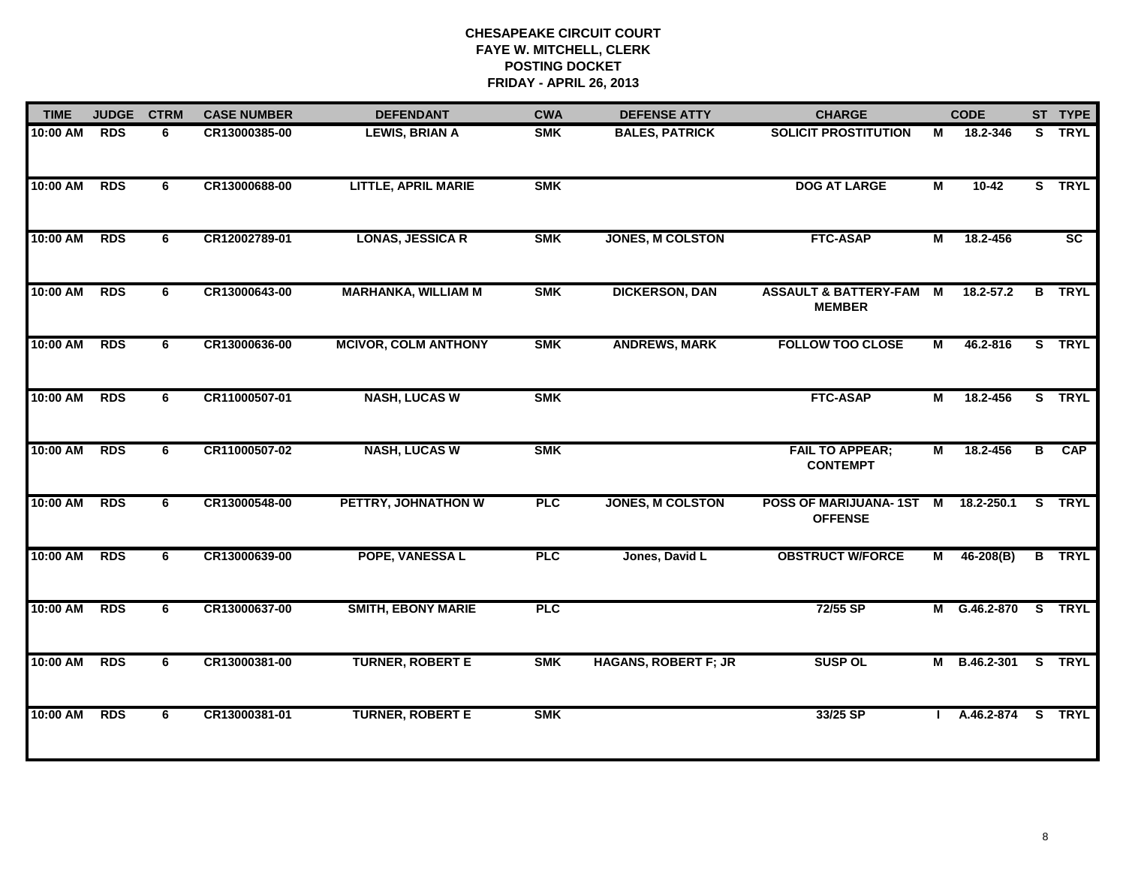| <b>TIME</b> | <b>JUDGE</b> | <b>CTRM</b> | <b>CASE NUMBER</b> | <b>DEFENDANT</b>            | <b>CWA</b> | <b>DEFENSE ATTY</b>         | <b>CHARGE</b>                                        |                | <b>CODE</b>       |   | ST TYPE         |
|-------------|--------------|-------------|--------------------|-----------------------------|------------|-----------------------------|------------------------------------------------------|----------------|-------------------|---|-----------------|
| 10:00 AM    | <b>RDS</b>   | 6           | CR13000385-00      | <b>LEWIS, BRIAN A</b>       | <b>SMK</b> | <b>BALES, PATRICK</b>       | <b>SOLICIT PROSTITUTION</b>                          | М              | 18.2-346          |   | S TRYL          |
| 10:00 AM    | <b>RDS</b>   | 6           | CR13000688-00      | <b>LITTLE, APRIL MARIE</b>  | <b>SMK</b> |                             | <b>DOG AT LARGE</b>                                  | M              | $10-42$           |   | S TRYL          |
| 10:00 AM    | <b>RDS</b>   | 6           | CR12002789-01      | <b>LONAS, JESSICA R</b>     | <b>SMK</b> | <b>JONES, M COLSTON</b>     | <b>FTC-ASAP</b>                                      | М              | 18.2-456          |   | $\overline{SC}$ |
| 10:00 AM    | <b>RDS</b>   | 6           | CR13000643-00      | <b>MARHANKA, WILLIAM M</b>  | <b>SMK</b> | <b>DICKERSON, DAN</b>       | <b>ASSAULT &amp; BATTERY-FAM</b><br><b>MEMBER</b>    | $\blacksquare$ | $18.2 - 57.2$     |   | <b>B</b> TRYL   |
| 10:00 AM    | <b>RDS</b>   | 6           | CR13000636-00      | <b>MCIVOR, COLM ANTHONY</b> | <b>SMK</b> | <b>ANDREWS, MARK</b>        | <b>FOLLOW TOO CLOSE</b>                              | М              | 46.2-816          |   | S TRYL          |
| 10:00 AM    | <b>RDS</b>   | 6           | CR11000507-01      | <b>NASH, LUCAS W</b>        | <b>SMK</b> |                             | <b>FTC-ASAP</b>                                      | $\overline{M}$ | 18.2-456          |   | S TRYL          |
| 10:00 AM    | <b>RDS</b>   | 6           | CR11000507-02      | <b>NASH, LUCAS W</b>        | <b>SMK</b> |                             | <b>FAIL TO APPEAR;</b><br><b>CONTEMPT</b>            | М              | 18.2-456          | B | <b>CAP</b>      |
| 10:00 AM    | <b>RDS</b>   | 6           | CR13000548-00      | PETTRY, JOHNATHON W         | <b>PLC</b> | <b>JONES, M COLSTON</b>     | POSS OF MARIJUANA-1ST M 18.2-250.1<br><b>OFFENSE</b> |                |                   |   | S TRYL          |
| 10:00 AM    | <b>RDS</b>   | 6           | CR13000639-00      | POPE, VANESSA L             | <b>PLC</b> | Jones, David L              | <b>OBSTRUCT W/FORCE</b>                              |                | $M = 46-208(B)$   |   | <b>B</b> TRYL   |
| 10:00 AM    | <b>RDS</b>   | 6           | CR13000637-00      | <b>SMITH, EBONY MARIE</b>   | PLC        |                             | 72/55 SP                                             |                | M G.46.2-870      |   | S TRYL          |
| 10:00 AM    | <b>RDS</b>   | 6           | CR13000381-00      | <b>TURNER, ROBERT E</b>     | <b>SMK</b> | <b>HAGANS, ROBERT F; JR</b> | <b>SUSP OL</b>                                       |                | M B.46.2-301      |   | S TRYL          |
| 10:00 AM    | <b>RDS</b>   | 6           | CR13000381-01      | <b>TURNER, ROBERT E</b>     | <b>SMK</b> |                             | 33/25 SP                                             |                | A.46.2-874 S TRYL |   |                 |
|             |              |             |                    |                             |            |                             |                                                      |                |                   |   |                 |